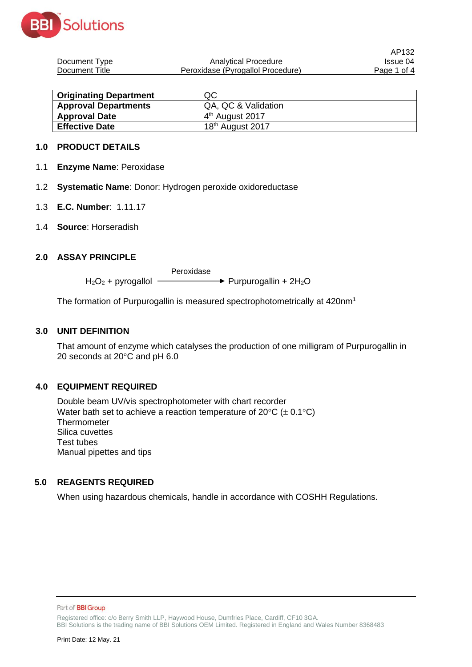

| Document Type  | Analytical Procedure              | Issue 04    |
|----------------|-----------------------------------|-------------|
| Document Title | Peroxidase (Pyrogallol Procedure) | Page 1 of 4 |

AP132

| <b>Originating Department</b> | QC                           |
|-------------------------------|------------------------------|
| <b>Approval Departments</b>   | QA, QC & Validation          |
| <b>Approval Date</b>          | 4 <sup>th</sup> August 2017  |
| <b>Effective Date</b>         | 18 <sup>th</sup> August 2017 |

### **1.0 PRODUCT DETAILS**

- 1.1 **Enzyme Name**: Peroxidase
- 1.2 **Systematic Name**: Donor: Hydrogen peroxide oxidoreductase
- 1.3 **E.C. Number**: 1.11.17
- 1.4 **Source**: Horseradish

## **2.0 ASSAY PRINCIPLE**

 $H_2O_2$  + pyrogallol  $\overline{\phantom{0}}$  $\rightarrow$  Purpurogallin + 2H<sub>2</sub>O

The formation of Purpurogallin is measured spectrophotometrically at 420nm<sup>1</sup>

#### **3.0 UNIT DEFINITION**

That amount of enzyme which catalyses the production of one milligram of Purpurogallin in 20 seconds at  $20^{\circ}$ C and pH 6.0

# **4.0 EQUIPMENT REQUIRED**

Double beam UV/vis spectrophotometer with chart recorder Water bath set to achieve a reaction temperature of  $20^{\circ}C$  ( $\pm$  0.1 $^{\circ}C$ ) **Thermometer** Silica cuvettes Test tubes Manual pipettes and tips

# **5.0 REAGENTS REQUIRED**

When using hazardous chemicals, handle in accordance with COSHH Regulations.

Part of **BBI Group** 

Registered office: c/o Berry Smith LLP, Haywood House, Dumfries Place, Cardiff, CF10 3GA. BBI Solutions is the trading name of BBI Solutions OEM Limited. Registered in England and Wales Number 8368483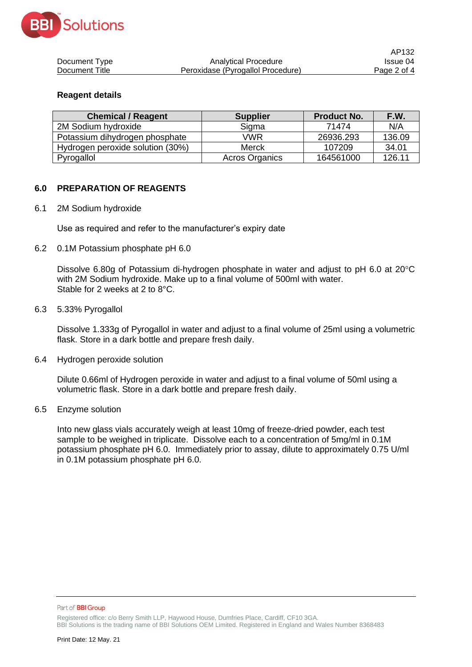

|                |                                   | AP132       |
|----------------|-----------------------------------|-------------|
| Document Type  | Analytical Procedure              | Issue 04    |
| Document Title | Peroxidase (Pyrogallol Procedure) | Page 2 of 4 |

### **Reagent details**

| <b>Chemical / Reagent</b>        | <b>Supplier</b>       | <b>Product No.</b> | F.W.   |
|----------------------------------|-----------------------|--------------------|--------|
| 2M Sodium hydroxide              | Sigma                 | 71474              | N/A    |
| Potassium dihydrogen phosphate   | VWR                   | 26936.293          | 136.09 |
| Hydrogen peroxide solution (30%) | <b>Merck</b>          | 107209             | 34.01  |
| Pyrogallol                       | <b>Acros Organics</b> | 164561000          | 126.11 |

## **6.0 PREPARATION OF REAGENTS**

6.1 2M Sodium hydroxide

Use as required and refer to the manufacturer's expiry date

6.2 0.1M Potassium phosphate pH 6.0

Dissolve 6.80g of Potassium di-hydrogen phosphate in water and adjust to pH 6.0 at  $20^{\circ}$ C with 2M Sodium hydroxide. Make up to a final volume of 500ml with water. Stable for 2 weeks at 2 to 8°C.

#### 6.3 5.33% Pyrogallol

Dissolve 1.333g of Pyrogallol in water and adjust to a final volume of 25ml using a volumetric flask. Store in a dark bottle and prepare fresh daily.

6.4 Hydrogen peroxide solution

Dilute 0.66ml of Hydrogen peroxide in water and adjust to a final volume of 50ml using a volumetric flask. Store in a dark bottle and prepare fresh daily.

6.5 Enzyme solution

Into new glass vials accurately weigh at least 10mg of freeze-dried powder, each test sample to be weighed in triplicate. Dissolve each to a concentration of 5mg/ml in 0.1M potassium phosphate pH 6.0. Immediately prior to assay, dilute to approximately 0.75 U/ml in 0.1M potassium phosphate pH 6.0.

Part of **BBI Group** 

Registered office: c/o Berry Smith LLP, Haywood House, Dumfries Place, Cardiff, CF10 3GA. BBI Solutions is the trading name of BBI Solutions OEM Limited. Registered in England and Wales Number 8368483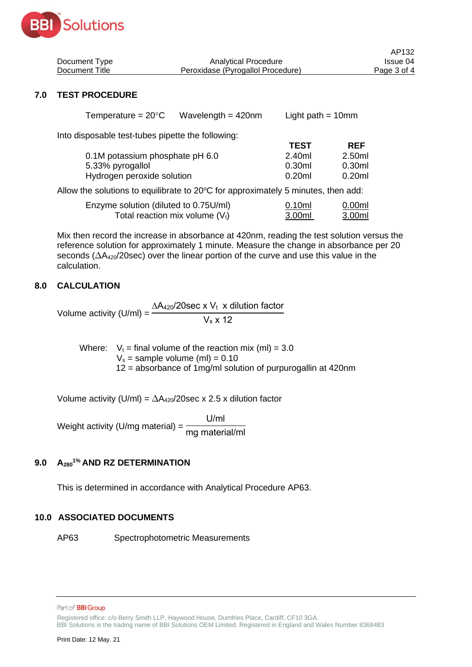

| Document Type  | Analytical Procedure              | Issue 04    |
|----------------|-----------------------------------|-------------|
| Document Title | Peroxidase (Pyrogallol Procedure) | Page 3 of 4 |

AP132

## **7.0 TEST PROCEDURE**

Into disposable test-tubes pipette the following:

| 2.50ml            |
|-------------------|
| 0.30ml            |
| 0.20 <sub>m</sub> |
|                   |

Allow the solutions to equilibrate to  $20^{\circ}$ C for approximately 5 minutes, then add:

| Enzyme solution (diluted to 0.75U/ml) | 0.10ml | 0.00 <sub>m</sub> |
|---------------------------------------|--------|-------------------|
| Total reaction mix volume $(V_t)$     | 3.00ml | 3.00ml            |

Mix then record the increase in absorbance at 420nm, reading the test solution versus the reference solution for approximately 1 minute. Measure the change in absorbance per 20 seconds ( $\Delta A_{420}$ /20sec) over the linear portion of the curve and use this value in the calculation.

## **8.0 CALCULATION**

Volume activity (U/ml) =  $\Delta A_{420}/20$ sec x V<sub>t</sub> x dilution factor  $V_s \times 12$ 

Where:  $V_t = \text{final volume of the reaction mix (ml)} = 3.0$  $V_s$  = sample volume (ml) = 0.10 12 = absorbance of 1mg/ml solution of purpurogallin at 420nm

Volume activity (U/ml) =  $\Delta A_{420}/20$ sec x 2.5 x dilution factor

Weight activity (U/mg material) = U/ml mg material/ml

# **9.0 A2801% AND RZ DETERMINATION**

This is determined in accordance with Analytical Procedure AP63.

### **10.0 ASSOCIATED DOCUMENTS**

AP63 Spectrophotometric Measurements

Registered office: c/o Berry Smith LLP, Haywood House, Dumfries Place, Cardiff, CF10 3GA.

BBI Solutions is the trading name of BBI Solutions OEM Limited. Registered in England and Wales Number 8368483

Part of **BBI Group**